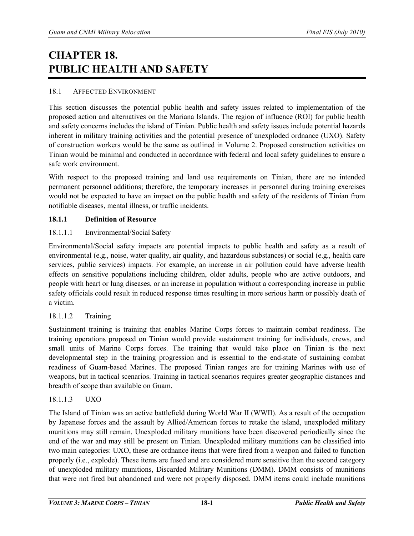# **CHAPTER 18. PUBLIC HEALTH AND SAFETY**

## 18.1 AFFECTED ENVIRONMENT

This section discusses the potential public health and safety issues related to implementation of the proposed action and alternatives on the Mariana Islands. The region of influence (ROI) for public health and safety concerns includes the island of Tinian. Public health and safety issues include potential hazards inherent in military training activities and the potential presence of unexploded ordnance (UXO). Safety of construction workers would be the same as outlined in Volume 2. Proposed construction activities on Tinian would be minimal and conducted in accordance with federal and local safety guidelines to ensure a safe work environment.

With respect to the proposed training and land use requirements on Tinian, there are no intended permanent personnel additions; therefore, the temporary increases in personnel during training exercises would not be expected to have an impact on the public health and safety of the residents of Tinian from notifiable diseases, mental illness, or traffic incidents.

#### **18.1.1 Definition of Resource**

## 18.1.1.1 Environmental/Social Safety

Environmental/Social safety impacts are potential impacts to public health and safety as a result of environmental (e.g., noise, water quality, air quality, and hazardous substances) or social (e.g., health care services, public services) impacts. For example, an increase in air pollution could have adverse health effects on sensitive populations including children, older adults, people who are active outdoors, and people with heart or lung diseases, or an increase in population without a corresponding increase in public safety officials could result in reduced response times resulting in more serious harm or possibly death of a victim.

## 18.1.1.2 Training

Sustainment training is training that enables Marine Corps forces to maintain combat readiness. The training operations proposed on Tinian would provide sustainment training for individuals, crews, and small units of Marine Corps forces. The training that would take place on Tinian is the next developmental step in the training progression and is essential to the end-state of sustaining combat readiness of Guam-based Marines. The proposed Tinian ranges are for training Marines with use of weapons, but in tactical scenarios. Training in tactical scenarios requires greater geographic distances and breadth of scope than available on Guam.

## 18.1.1.3 UXO

The Island of Tinian was an active battlefield during World War II (WWII). As a result of the occupation by Japanese forces and the assault by Allied/American forces to retake the island, unexploded military munitions may still remain. Unexploded military munitions have been discovered periodically since the end of the war and may still be present on Tinian. Unexploded military munitions can be classified into two main categories: UXO, these are ordnance items that were fired from a weapon and failed to function properly (i.e., explode). These items are fused and are considered more sensitive than the second category of unexploded military munitions, Discarded Military Munitions (DMM). DMM consists of munitions that were not fired but abandoned and were not properly disposed. DMM items could include munitions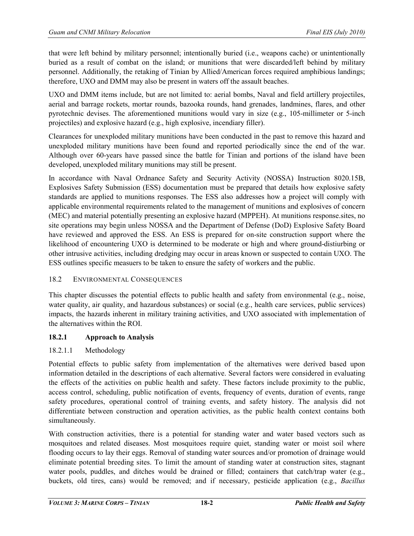that were left behind by military personnel; intentionally buried (i.e., weapons cache) or unintentionally buried as a result of combat on the island; or munitions that were discarded/left behind by military personnel. Additionally, the retaking of Tinian by Allied/American forces required amphibious landings; therefore, UXO and DMM may also be present in waters off the assault beaches.

UXO and DMM items include, but are not limited to: aerial bombs, Naval and field artillery projectiles, aerial and barrage rockets, mortar rounds, bazooka rounds, hand grenades, landmines, flares, and other pyrotechnic devises. The aforementioned munitions would vary in size (e.g., 105-millimeter or 5-inch projectiles) and explosive hazard (e.g., high explosive, incendiary filler).

Clearances for unexploded military munitions have been conducted in the past to remove this hazard and unexploded military munitions have been found and reported periodically since the end of the war. Although over 60-years have passed since the battle for Tinian and portions of the island have been developed, unexploded military munitions may still be present.

In accordance with Naval Ordnance Safety and Security Activity (NOSSA) Instruction 8020.15B, Explosives Safety Submission (ESS) documentation must be prepared that details how explosive safety standards are applied to munitions responses. The ESS also addresses how a project will comply with applicable environmental requirements related to the management of munitions and explosives of concern (MEC) and material potentially presenting an explosive hazard (MPPEH). At munitions response.sites, no site operations may begin unless NOSSA and the Department of Defense (DoD) Explosive Safety Board have reviewed and approved the ESS. An ESS is prepared for on-site construction support where the likelihood of encountering UXO is determined to be moderate or high and where ground-distiurbing or other intrusive activities, including dredging may occur in areas known or suspected to contain UXO. The ESS outlines specific measuers to be taken to ensure the safety of workers and the public.

## 18.2 ENVIRONMENTAL CONSEQUENCES

This chapter discusses the potential effects to public health and safety from environmental (e.g., noise, water quality, air quality, and hazardous substances) or social (e.g., health care services, public services) impacts, the hazards inherent in military training activities, and UXO associated with implementation of the alternatives within the ROI.

# **18.2.1 Approach to Analysis**

# 18.2.1.1 Methodology

Potential effects to public safety from implementation of the alternatives were derived based upon information detailed in the descriptions of each alternative. Several factors were considered in evaluating the effects of the activities on public health and safety. These factors include proximity to the public, access control, scheduling, public notification of events, frequency of events, duration of events, range safety procedures, operational control of training events, and safety history. The analysis did not differentiate between construction and operation activities, as the public health context contains both simultaneously.

With construction activities, there is a potential for standing water and water based vectors such as mosquitoes and related diseases. Most mosquitoes require quiet, standing water or moist soil where flooding occurs to lay their eggs. Removal of standing water sources and/or promotion of drainage would eliminate potential breeding sites. To limit the amount of standing water at construction sites, stagnant water pools, puddles, and ditches would be drained or filled; containers that catch/trap water (e.g., buckets, old tires, cans) would be removed; and if necessary, pesticide application (e.g., *Bacillus*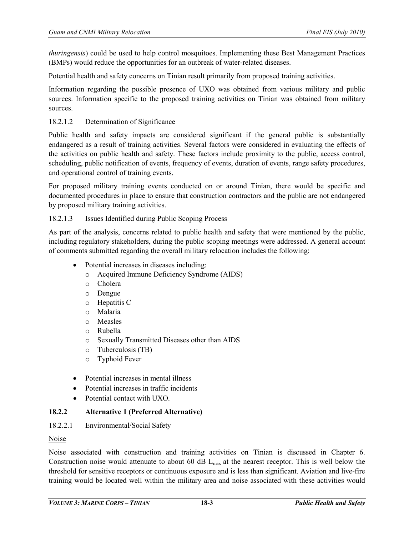*thuringensis*) could be used to help control mosquitoes. Implementing these Best Management Practices (BMPs) would reduce the opportunities for an outbreak of water-related diseases.

Potential health and safety concerns on Tinian result primarily from proposed training activities.

Information regarding the possible presence of UXO was obtained from various military and public sources. Information specific to the proposed training activities on Tinian was obtained from military sources.

## 18.2.1.2 Determination of Significance

Public health and safety impacts are considered significant if the general public is substantially endangered as a result of training activities. Several factors were considered in evaluating the effects of the activities on public health and safety. These factors include proximity to the public, access control, scheduling, public notification of events, frequency of events, duration of events, range safety procedures, and operational control of training events.

For proposed military training events conducted on or around Tinian, there would be specific and documented procedures in place to ensure that construction contractors and the public are not endangered by proposed military training activities.

## 18.2.1.3 Issues Identified during Public Scoping Process

As part of the analysis, concerns related to public health and safety that were mentioned by the public, including regulatory stakeholders, during the public scoping meetings were addressed. A general account of comments submitted regarding the overall military relocation includes the following:

- Potential increases in diseases including:
	- o Acquired Immune Deficiency Syndrome (AIDS)
	- o Cholera
	- o Dengue
	- o Hepatitis C
	- o Malaria
	- o Measles
	- o Rubella
	- o Sexually Transmitted Diseases other than AIDS
	- o Tuberculosis (TB)
	- o Typhoid Fever
- Potential increases in mental illness
- Potential increases in traffic incidents
- Potential contact with UXO.

## **18.2.2 Alternative 1 (Preferred Alternative)**

## 18.2.2.1 Environmental/Social Safety

#### Noise

Noise associated with construction and training activities on Tinian is discussed in Chapter 6. Construction noise would attenuate to about 60 dB  $L_{\text{max}}$  at the nearest receptor. This is well below the threshold for sensitive receptors or continuous exposure and is less than significant. Aviation and live-fire training would be located well within the military area and noise associated with these activities would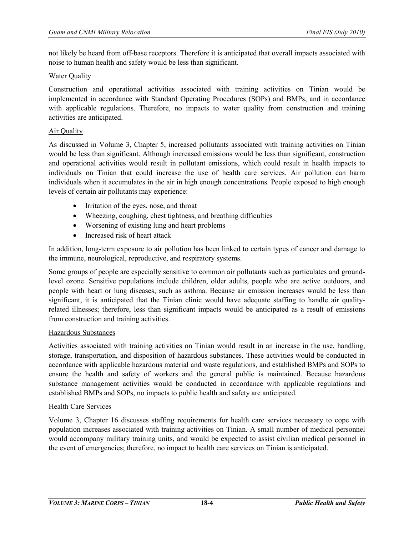not likely be heard from off-base receptors. Therefore it is anticipated that overall impacts associated with noise to human health and safety would be less than significant.

## Water Quality

Construction and operational activities associated with training activities on Tinian would be implemented in accordance with Standard Operating Procedures (SOPs) and BMPs, and in accordance with applicable regulations. Therefore, no impacts to water quality from construction and training activities are anticipated.

## Air Quality

As discussed in Volume 3, Chapter 5, increased pollutants associated with training activities on Tinian would be less than significant. Although increased emissions would be less than significant, construction and operational activities would result in pollutant emissions, which could result in health impacts to individuals on Tinian that could increase the use of health care services. Air pollution can harm individuals when it accumulates in the air in high enough concentrations. People exposed to high enough levels of certain air pollutants may experience:

- Irritation of the eyes, nose, and throat
- Wheezing, coughing, chest tightness, and breathing difficulties
- Worsening of existing lung and heart problems
- Increased risk of heart attack

In addition, long-term exposure to air pollution has been linked to certain types of cancer and damage to the immune, neurological, reproductive, and respiratory systems.

Some groups of people are especially sensitive to common air pollutants such as particulates and groundlevel ozone. Sensitive populations include children, older adults, people who are active outdoors, and people with heart or lung diseases, such as asthma. Because air emission increases would be less than significant, it is anticipated that the Tinian clinic would have adequate staffing to handle air qualityrelated illnesses; therefore, less than significant impacts would be anticipated as a result of emissions from construction and training activities.

## Hazardous Substances

Activities associated with training activities on Tinian would result in an increase in the use, handling, storage, transportation, and disposition of hazardous substances. These activities would be conducted in accordance with applicable hazardous material and waste regulations, and established BMPs and SOPs to ensure the health and safety of workers and the general public is maintained. Because hazardous substance management activities would be conducted in accordance with applicable regulations and established BMPs and SOPs, no impacts to public health and safety are anticipated.

## Health Care Services

Volume 3, Chapter 16 discusses staffing requirements for health care services necessary to cope with population increases associated with training activities on Tinian. A small number of medical personnel would accompany military training units, and would be expected to assist civilian medical personnel in the event of emergencies; therefore, no impact to health care services on Tinian is anticipated.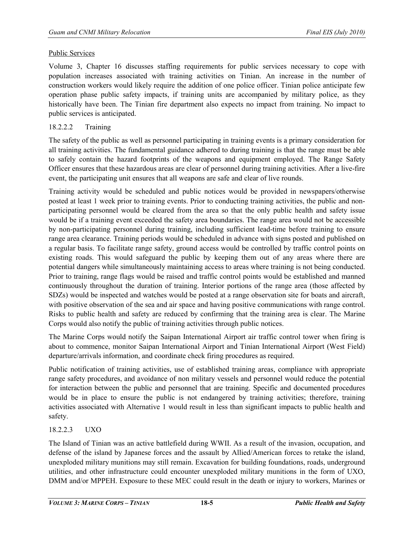## Public Services

Volume 3, Chapter 16 discusses staffing requirements for public services necessary to cope with population increases associated with training activities on Tinian. An increase in the number of construction workers would likely require the addition of one police officer. Tinian police anticipate few operation phase public safety impacts, if training units are accompanied by military police, as they historically have been. The Tinian fire department also expects no impact from training. No impact to public services is anticipated.

## 18.2.2.2 Training

The safety of the public as well as personnel participating in training events is a primary consideration for all training activities. The fundamental guidance adhered to during training is that the range must be able to safely contain the hazard footprints of the weapons and equipment employed. The Range Safety Officer ensures that these hazardous areas are clear of personnel during training activities. After a live-fire event, the participating unit ensures that all weapons are safe and clear of live rounds.

Training activity would be scheduled and public notices would be provided in newspapers/otherwise posted at least 1 week prior to training events. Prior to conducting training activities, the public and nonparticipating personnel would be cleared from the area so that the only public health and safety issue would be if a training event exceeded the safety area boundaries. The range area would not be accessible by non-participating personnel during training, including sufficient lead-time before training to ensure range area clearance. Training periods would be scheduled in advance with signs posted and published on a regular basis. To facilitate range safety, ground access would be controlled by traffic control points on existing roads. This would safeguard the public by keeping them out of any areas where there are potential dangers while simultaneously maintaining access to areas where training is not being conducted. Prior to training, range flags would be raised and traffic control points would be established and manned continuously throughout the duration of training. Interior portions of the range area (those affected by SDZs) would be inspected and watches would be posted at a range observation site for boats and aircraft, with positive observation of the sea and air space and having positive communications with range control. Risks to public health and safety are reduced by confirming that the training area is clear. The Marine Corps would also notify the public of training activities through public notices.

The Marine Corps would notify the Saipan International Airport air traffic control tower when firing is about to commence, monitor Saipan International Airport and Tinian International Airport (West Field) departure/arrivals information, and coordinate check firing procedures as required.

Public notification of training activities, use of established training areas, compliance with appropriate range safety procedures, and avoidance of non military vessels and personnel would reduce the potential for interaction between the public and personnel that are training. Specific and documented procedures would be in place to ensure the public is not endangered by training activities; therefore, training activities associated with Alternative 1 would result in less than significant impacts to public health and safety.

# 18.2.2.3 UXO

The Island of Tinian was an active battlefield during WWII. As a result of the invasion, occupation, and defense of the island by Japanese forces and the assault by Allied/American forces to retake the island, unexploded military munitions may still remain. Excavation for building foundations, roads, underground utilities, and other infrastructure could encounter unexploded military munitions in the form of UXO, DMM and/or MPPEH. Exposure to these MEC could result in the death or injury to workers, Marines or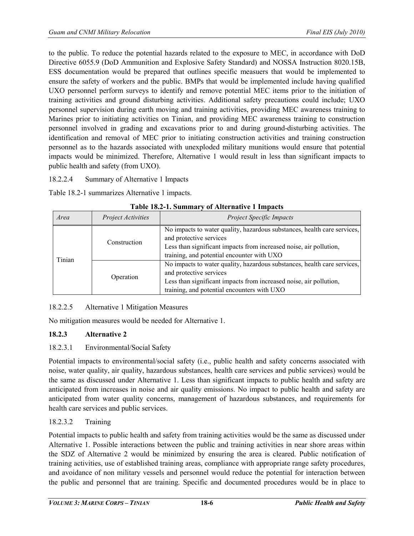to the public. To reduce the potential hazards related to the exposure to MEC, in accordance with DoD Directive 6055.9 (DoD Ammunition and Explosive Safety Standard) and NOSSA Instruction 8020.15B, ESS documentation would be prepared that outlines specific measuers that would be implemented to ensure the safety of workers and the public. BMPs that would be implemented include having qualified UXO personnel perform surveys to identify and remove potential MEC items prior to the initiation of training activities and ground disturbing activities. Additional safety precautions could include; UXO personnel supervision during earth moving and training activities, providing MEC awareness training to Marines prior to initiating activities on Tinian, and providing MEC awareness training to construction personnel involved in grading and excavations prior to and during ground-disturbing activities. The identification and removal of MEC prior to initiating construction activities and training construction personnel as to the hazards associated with unexploded military munitions would ensure that potential impacts would be minimized. Therefore, Alternative 1 would result in less than significant impacts to public health and safety (from UXO).

18.2.2.4 Summary of Alternative 1 Impacts

Table 18.2-1 summarizes Alternative 1 impacts.

| Area   | <i>Project Activities</i> | <b>Project Specific Impacts</b>                                                                                                                                                                                          |  |
|--------|---------------------------|--------------------------------------------------------------------------------------------------------------------------------------------------------------------------------------------------------------------------|--|
| Tinian | Construction              | No impacts to water quality, hazardous substances, health care services,<br>and protective services<br>Less than significant impacts from increased noise, air pollution,<br>training, and potential encounter with UXO  |  |
|        | Operation                 | No impacts to water quality, hazardous substances, health care services,<br>and protective services<br>Less than significant impacts from increased noise, air pollution,<br>training, and potential encounters with UXO |  |

|  |  |  | Table 18.2-1. Summary of Alternative 1 Impacts |  |
|--|--|--|------------------------------------------------|--|
|--|--|--|------------------------------------------------|--|

# 18.2.2.5 Alternative 1 Mitigation Measures

No mitigation measures would be needed for Alternative 1.

# **18.2.3 Alternative 2**

# 18.2.3.1 Environmental/Social Safety

Potential impacts to environmental/social safety (i.e., public health and safety concerns associated with noise, water quality, air quality, hazardous substances, health care services and public services) would be the same as discussed under Alternative 1. Less than significant impacts to public health and safety are anticipated from increases in noise and air quality emissions. No impact to public health and safety are anticipated from water quality concerns, management of hazardous substances, and requirements for health care services and public services.

# 18.2.3.2 Training

Potential impacts to public health and safety from training activities would be the same as discussed under Alternative 1. Possible interactions between the public and training activities in near shore areas within the SDZ of Alternative 2 would be minimized by ensuring the area is cleared. Public notification of training activities, use of established training areas, compliance with appropriate range safety procedures, and avoidance of non military vessels and personnel would reduce the potential for interaction between the public and personnel that are training. Specific and documented procedures would be in place to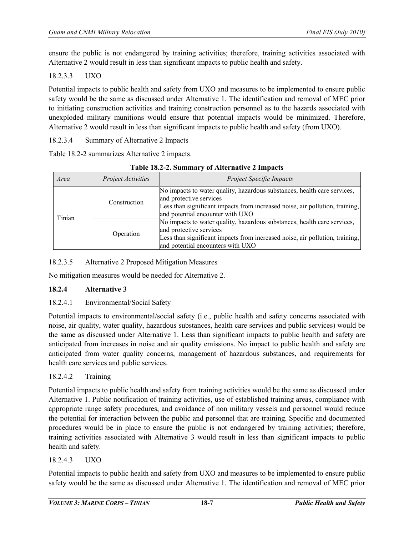ensure the public is not endangered by training activities; therefore, training activities associated with Alternative 2 would result in less than significant impacts to public health and safety.

# 18.2.3.3 UXO

Potential impacts to public health and safety from UXO and measures to be implemented to ensure public safety would be the same as discussed under Alternative 1. The identification and removal of MEC prior to initiating construction activities and training construction personnel as to the hazards associated with unexploded military munitions would ensure that potential impacts would be minimized. Therefore, Alternative 2 would result in less than significant impacts to public health and safety (from UXO).

18.2.3.4 Summary of Alternative 2 Impacts

Table 18.2-2 summarizes Alternative 2 impacts.

| Area   | Project Activities | <b>Project Specific Impacts</b>                                                                                                                                                                                          |  |
|--------|--------------------|--------------------------------------------------------------------------------------------------------------------------------------------------------------------------------------------------------------------------|--|
| Tinian | Construction       | No impacts to water quality, hazardous substances, health care services,<br>and protective services<br>Less than significant impacts from increased noise, air pollution, training,<br>and potential encounter with UXO  |  |
|        | Operation          | No impacts to water quality, hazardous substances, health care services,<br>and protective services<br>Less than significant impacts from increased noise, air pollution, training,<br>and potential encounters with UXO |  |

# 18.2.3.5 Alternative 2 Proposed Mitigation Measures

No mitigation measures would be needed for Alternative 2.

## **18.2.4 Alternative 3**

## 18.2.4.1 Environmental/Social Safety

Potential impacts to environmental/social safety (i.e., public health and safety concerns associated with noise, air quality, water quality, hazardous substances, health care services and public services) would be the same as discussed under Alternative 1. Less than significant impacts to public health and safety are anticipated from increases in noise and air quality emissions. No impact to public health and safety are anticipated from water quality concerns, management of hazardous substances, and requirements for health care services and public services.

## 18.2.4.2 Training

Potential impacts to public health and safety from training activities would be the same as discussed under Alternative 1. Public notification of training activities, use of established training areas, compliance with appropriate range safety procedures, and avoidance of non military vessels and personnel would reduce the potential for interaction between the public and personnel that are training. Specific and documented procedures would be in place to ensure the public is not endangered by training activities; therefore, training activities associated with Alternative 3 would result in less than significant impacts to public health and safety.

## 18.2.4.3 UXO

Potential impacts to public health and safety from UXO and measures to be implemented to ensure public safety would be the same as discussed under Alternative 1. The identification and removal of MEC prior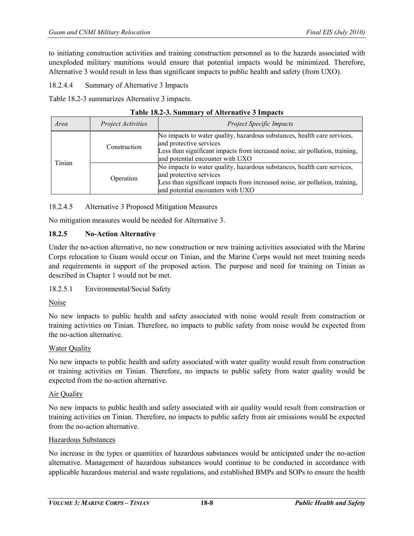to initiating construction activities and training construction personnel as to the hazards associated with unexploded military munitions would ensure that potential impacts would be minimized. Therefore, Alternative 3 would result in less than significant impacts to public health and safety (from UXO).

18.2.4.4 Summary of Alternative 3 Impacts

Table 18.2-3 summarizes Alternative 3 impacts.

| Area                   | Project Activities | <b>Project Specific Impacts</b>                                                                                                                                                                                          |
|------------------------|--------------------|--------------------------------------------------------------------------------------------------------------------------------------------------------------------------------------------------------------------------|
| Construction<br>Tinian |                    | No impacts to water quality, hazardous substances, health care services,<br>and protective services<br>Less than significant impacts from increased noise, air pollution, training,<br>and potential encounter with UXO  |
|                        | Operation          | No impacts to water quality, hazardous substances, health care services,<br>and protective services<br>Less than significant impacts from increased noise, air pollution, training,<br>and potential encounters with UXO |

18.2.4.5 Alternative 3 Proposed Mitigation Measures

No mitigation measures would be needed for Alternative 3.

#### **18.2.5 No-Action Alternative**

Under the no-action alternative, no new construction or new training activities associated with the Marine Corps relocation to Guam would occur on Tinian, and the Marine Corps would not meet training needs and requirements in support of the proposed action. The purpose and need for training on Tinian as described in Chapter 1 would not be met.

18.2.5.1 Environmental/Social Safety

## Noise

No new impacts to public health and safety associated with noise would result from construction or training activities on Tinian. Therefore, no impacts to public safety from noise would be expected from the no-action alternative.

#### Water Quality

No new impacts to public health and safety associated with water quality would result from construction or training activities on Tinian. Therefore, no impacts to public safety from water quality would be expected from the no-action alternative.

#### Air Quality

No new impacts to public health and safety associated with air quality would result from construction or training activities on Tinian. Therefore, no impacts to public safety from air emissions would be expected from the no-action alternative.

#### Hazardous Substances

No increase in the types or quantities of hazardous substances would be anticipated under the no-action alternative. Management of hazardous substances would continue to be conducted in accordance with applicable hazardous material and waste regulations, and established BMPs and SOPs to ensure the health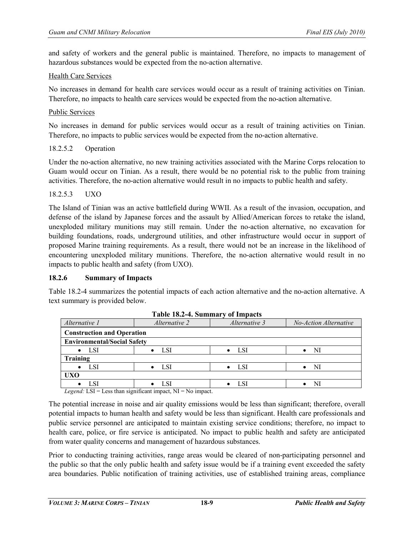and safety of workers and the general public is maintained. Therefore, no impacts to management of hazardous substances would be expected from the no-action alternative.

#### Health Care Services

No increases in demand for health care services would occur as a result of training activities on Tinian. Therefore, no impacts to health care services would be expected from the no-action alternative.

#### Public Services

No increases in demand for public services would occur as a result of training activities on Tinian. Therefore, no impacts to public services would be expected from the no-action alternative.

#### 18.2.5.2 Operation

Under the no-action alternative, no new training activities associated with the Marine Corps relocation to Guam would occur on Tinian. As a result, there would be no potential risk to the public from training activities. Therefore, the no-action alternative would result in no impacts to public health and safety.

#### 18.2.5.3 UXO

The Island of Tinian was an active battlefield during WWII. As a result of the invasion, occupation, and defense of the island by Japanese forces and the assault by Allied/American forces to retake the island, unexploded military munitions may still remain. Under the no-action alternative, no excavation for building foundations, roads, underground utilities, and other infrastructure would occur in support of proposed Marine training requirements. As a result, there would not be an increase in the likelihood of encountering unexploded military munitions. Therefore, the no-action alternative would result in no impacts to public health and safety (from UXO).

#### **18.2.6 Summary of Impacts**

Table 18.2-4 summarizes the potential impacts of each action alternative and the no-action alternative. A text summary is provided below.

| Alternative 1                      | Alternative 2                     | Alternative 3      | No-Action Alternative |  |
|------------------------------------|-----------------------------------|--------------------|-----------------------|--|
|                                    | <b>Construction and Operation</b> |                    |                       |  |
| <b>Environmental/Social Safety</b> |                                   |                    |                       |  |
| $\bullet$ LSI                      | <b>LSI</b>                        | - LSI<br>$\bullet$ | NI                    |  |
| Training                           |                                   |                    |                       |  |
| LSI<br>$\bullet$                   | LSI<br>$\bullet$                  | $\bullet$ LSI      | - NI<br>$\bullet$     |  |
| <b>UXO</b>                         |                                   |                    |                       |  |
| LSI                                | <b>LSI</b>                        | LSI                | NI                    |  |

**Table 18.2-4. Summary of Impacts**

*Legend:* LSI = Less than significant impact, NI = No impact.

The potential increase in noise and air quality emissions would be less than significant; therefore, overall potential impacts to human health and safety would be less than significant. Health care professionals and public service personnel are anticipated to maintain existing service conditions; therefore, no impact to health care, police, or fire service is anticipated. No impact to public health and safety are anticipated from water quality concerns and management of hazardous substances.

Prior to conducting training activities, range areas would be cleared of non-participating personnel and the public so that the only public health and safety issue would be if a training event exceeded the safety area boundaries. Public notification of training activities, use of established training areas, compliance